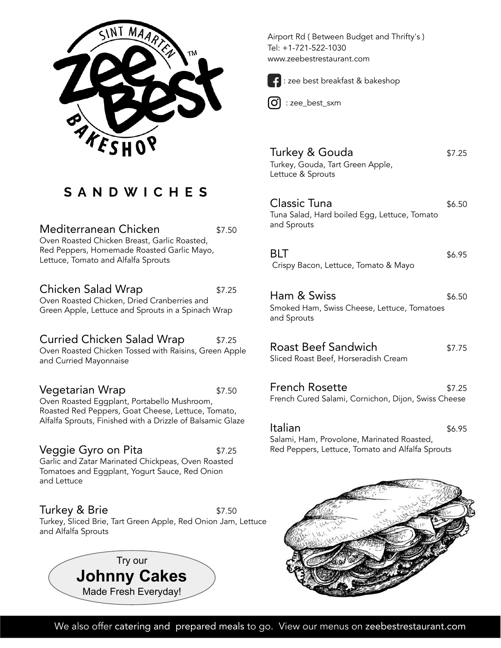

# **S A N D W I C H E S**

Mediterranean Chicken **\$7.50** Oven Roasted Chicken Breast, Garlic Roasted, Red Peppers, Homemade Roasted Garlic Mayo, Lettuce, Tomato and Alfalfa Sprouts

Chicken Salad Wrap  $$7.25$ Oven Roasted Chicken, Dried Cranberries and Green Apple, Lettuce and Sprouts in a Spinach Wrap

Curried Chicken Salad Wrap \$7.25 Oven Roasted Chicken Tossed with Raisins, Green Apple and Curried Mayonnaise

**Vegetarian Wrap** \$7.50 Oven Roasted Eggplant, Portabello Mushroom, Roasted Red Peppers, Goat Cheese, Lettuce, Tomato, Alfalfa Sprouts, Finished with a Drizzle of Balsamic Glaze

Veggie Gyro on Pita **1988 1998 1998** \$7.25 Garlic and Zatar Marinated Chickpeas, Oven Roasted Tomatoes and Eggplant, Yogurt Sauce, Red Onion and Lettuce

Turkey & Brie  $$7.50$ Turkey, Sliced Brie, Tart Green Apple, Red Onion Jam, Lettuce and Alfalfa Sprouts



Airport Rd ( Between Budget and Thrifty's ) Tel: +1-721-522-1030 www.zeebestrestaurant.com



l.

: zee best breakfast & bakeshop

: zee\_best\_sxm

Turkey & Gouda<br>
\$7.25 Turkey, Gouda, Tart Green Apple, Lettuce & Sprouts

Classic Tuna  $$6.50$ Tuna Salad, Hard boiled Egg, Lettuce, Tomato and Sprouts

 $BLT$   $$6.95$ Crispy Bacon, Lettuce, Tomato & Mayo

Ham & Swiss  $\frac{1}{6.50}$ Smoked Ham, Swiss Cheese, Lettuce, Tomatoes and Sprouts

Roast Beef Sandwich  $$7.75$ Sliced Roast Beef, Horseradish Cream

French Rosette **\$7.25** French Cured Salami, Cornichon, Dijon, Swiss Cheese

**Italian** \$6.95 Salami, Ham, Provolone, Marinated Roasted, Red Peppers, Lettuce, Tomato and Alfalfa Sprouts



We also offer catering and prepared meals to go. View our menus on zeebestrestaurant.com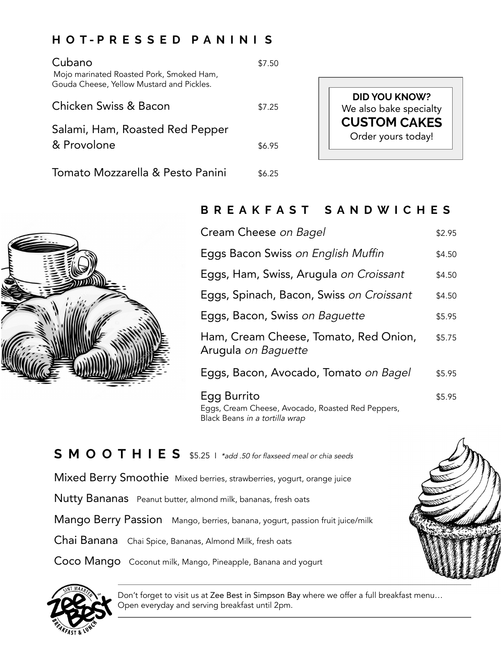#### **H O T - P R E S S E D P A N I N I S**

| Cubano<br>Mojo marinated Roasted Pork, Smoked Ham,                 | \$7.50 |                                                |
|--------------------------------------------------------------------|--------|------------------------------------------------|
| Gouda Cheese, Yellow Mustard and Pickles.<br>Chicken Swiss & Bacon | \$7.25 | <b>DID YOU KNOW?</b><br>We also bake specialty |
| Salami, Ham, Roasted Red Pepper<br>& Provolone                     | \$6.95 | <b>CUSTOM CAKES</b><br>Order yours today!      |
| Tomato Mozzarella & Pesto Panini                                   | \$6.25 |                                                |



### **B R E A K F A S T S A N D W I C H E S**

| Cream Cheese on Bagel                                                                              | \$2.95 |
|----------------------------------------------------------------------------------------------------|--------|
| Eggs Bacon Swiss on English Muffin                                                                 | \$4.50 |
| Eggs, Ham, Swiss, Arugula on Croissant                                                             | \$4.50 |
| Eggs, Spinach, Bacon, Swiss on Croissant                                                           | \$4.50 |
| Eggs, Bacon, Swiss on Baguette                                                                     | \$5.95 |
| Ham, Cream Cheese, Tomato, Red Onion,<br>Arugula on Baguette                                       | \$5.75 |
| Eggs, Bacon, Avocado, Tomato <i>on Bagel</i>                                                       | \$5.95 |
| Egg Burrito<br>Eggs, Cream Cheese, Avocado, Roasted Red Peppers,<br>Black Beans in a tortilla wrap | \$5.95 |

**S M O O T H I E S** \$5.25 I \*add .50 for flaxseed meal or chia seeds

Mixed Berry Smoothie Mixed berries, strawberries, yogurt, orange juice

Nutty Bananas Peanut butter, almond milk, bananas, fresh oats

Mango Berry Passion Mango, berries, banana, yogurt, passion fruit juice/milk

Chai Banana Chai Spice, Bananas, Almond Milk, fresh oats

Coco Mango Coconut milk, Mango, Pineapple, Banana and yogurt



Don't forget to visit us at Zee Best in Simpson Bay where we offer a full breakfast menu… Open everyday and serving breakfast until 2pm.